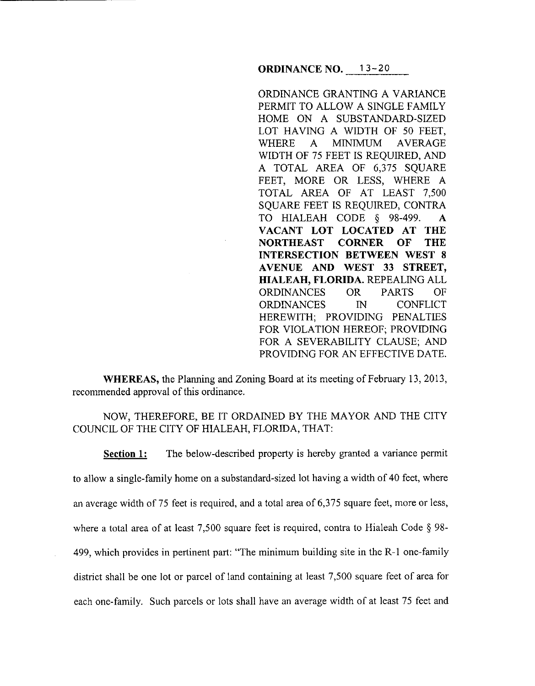ORDINANCE GRANTING A VARIANCE PERMIT TO ALLOW A SINGLE FAMILY HOME ON A SUBSTANDARD-SIZED LOT HAVING A WIDTH OF 50 FEET, WHERE A MINIMUM AVERAGE WIDTH OF 75 FEET IS REQUIRED, AND A TOTAL AREA OF 6,375 SQUARE FEET, MORE OR LESS, WHERE A TOTAL AREA OF AT LEAST 7,500 SQUARE FEET IS REQUIRED, CONTRA TO HIALEAH CODE § 98-499. A **VACANT LOT LOCATED AT THE NORTHEAST CORNER OF THE INTERSECTION BETWEEN WEST 8 AVENUE AND WEST 33 STREET, HIALEAH, FLORIDA.** REPEALING ALL ORDINANCES OR PARTS OF ORDINANCES IN CONFLICT HEREWITH; PROVIDING PENALTIES FOR VIOLATION HEREOF; PROVIDING FOR A SEVERABILITY CLAUSE; AND PROVIDING FOR AN EFFECTIVE DATE.

**WHEREAS,** the Planning and Zoning Board at its meeting of February 13, 2013, recommended approval of this ordinance.

NOW, THEREFORE, BE IT ORDAINED BY THE MAYOR AND THE CITY COUNCIL OF THE CITY OF HIALEAH, FLORIDA, THAT:

**Section 1:** The below-described property is hereby granted a variance permit to allow a single-family home on a substandard-sized lot having a width of 40 feet, where an average width of 75 feet is required, and a total area of 6,375 square feet, more or less, where a total area of at least 7,500 square feet is required, contra to Hialeah Code § 98-499, which provides in pertinent part: "The minimum building site in the R-1 one-family district shall be one lot or parcel of land containing at least 7,500 square feet of area for each one-family. Such parcels or lots shall have an average width of at least 75 feet and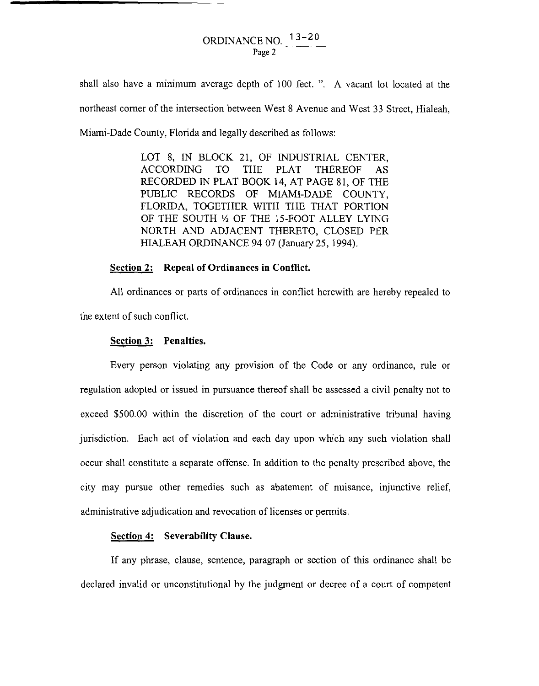# ORDINANCE NO.  $13-20$ Page 2

shall also have a minimum average depth of 100 feet. ". A vacant lot located at the northeast comer of the intersection between West 8 Avenue and West 33 Street, Hialeah, Miami-Dade County, Florida and legally described as follows:

> LOT 8, IN BLOCK 21, OF INDUSTRIAL CENTER, ACCORDING TO THE PLAT THEREOF AS RECORDED IN PLAT BOOK **14,** AT PAGE 81, OF THE PUBLIC RECORDS OF MIAMI-DADE COUNTY, FLORIDA, TOGETHER WITH THE THAT PORTION OF THE SOUTH *Y,* OF THE 15-FOOT ALLEY LYING NORTH AND ADJACENT THERETO, CLOSED PER HIALEAH ORDINANCE 94-07 (January 25, 1994).

## **Section 2: Repeal of Ordinances in Conflict.**

All ordinances or parts of ordinances in conflict herewith are hereby repealed to the extent of such conflict.

#### **Section 3: Penalties.**

Every person violating any provision of the Code or any ordinance, rule or regulation adopted or issued in pursuance thereof shall be assessed a civil penalty not to exceed \$500.00 within the discretion of the court or administrative tribunal having jurisdiction. Each act of violation and each day upon which any such violation shall occur shall constitute a separate offense. In addition to the penalty prescribed above, the city may pursue other remedies such as abatement of nuisance, injunctive relief, administrative adjudication and revocation of licenses or permits.

## **Section 4: Severability Clause.**

If any phrase, clause, sentence, paragraph or section of this ordinance shall be declared invalid or unconstitutional by the judgment or decree of a court of competent